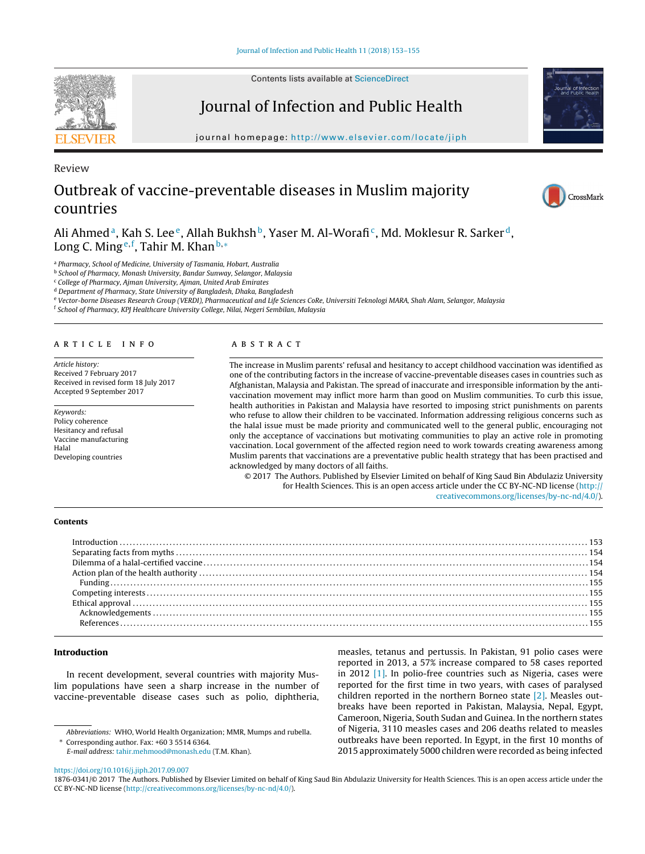Contents lists available at [ScienceDirect](http://www.sciencedirect.com/science/journal/aip/18760341)

# Journal of Infection and Public Health

journal homepage: <http://www.elsevier.com/locate/jiph>

# Outbreak of vaccine-preventable diseases in Muslim majority countries

Ali Ahmed<sup>a</sup>, Kah S. Lee<sup>e</sup>, Allah Bukhsh<sup>b</sup>, Yaser M. Al-Worafi<sup>c</sup>, Md. Moklesur R. Sarker<sup>d</sup>, Long C. Ming<sup>e,f</sup>, Tahir M. Khan <sup>b,</sup>\*

<sup>a</sup> Pharmacy, School of Medicine, University of Tasmania, Hobart, Australia

b School of Pharmacy, Monash University, Bandar Sunway, Selangor, Malaysia

<sup>c</sup> College of Pharmacy, Ajman University, Ajman, United Arab Emirates

<sup>d</sup> Department of Pharmacy, State University of Bangladesh, Dhaka, Bangladesh

<sup>e</sup> Vector-borne Diseases Research Group (VERDI), Pharmaceutical and Life Sciences CoRe, Universiti Teknologi MARA, Shah Alam, Selangor, Malaysia

<sup>f</sup> School of Pharmacy, KPJ Healthcare University College, Nilai, Negeri Sembilan, Malaysia

## a r t i c l e i n f o

Article history: Received 7 February 2017 Received in revised form 18 July 2017 Accepted 9 September 2017

Keywords: Policy coherence Hesitancy and refusal Vaccine manufacturing Halal Developing countries

# a b s t r a c t

The increase in Muslim parents' refusal and hesitancy to accept childhood vaccination was identified as one of the contributing factors in the increase of vaccine-preventable diseases cases in countries such as Afghanistan, Malaysia and Pakistan. The spread of inaccurate and irresponsible information by the antivaccination movement may inflict more harm than good on Muslim communities. To curb this issue, health authorities in Pakistan and Malaysia have resorted to imposing strict punishments on parents who refuse to allow their children to be vaccinated. Information addressing religious concerns such as the halal issue must be made priority and communicated well to the general public, encouraging not only the acceptance of vaccinations but motivating communities to play an active role in promoting vaccination. Local government of the affected region need to work towards creating awareness among Muslim parents that vaccinations are a preventative public health strategy that has been practised and acknowledged by many doctors of all faiths.

© 2017 The Authors. Published by Elsevier Limited on behalf of King Saud Bin Abdulaziz University for Health Sciences. This is an open access article under the CC BY-NC-ND license [\(http://](http://creativecommons.org/licenses/by-nc-nd/4.0/) [creativecommons.org/licenses/by-nc-nd/4.0/](http://creativecommons.org/licenses/by-nc-nd/4.0/)).

#### **Contents**

# **Introduction**

In recent development, several countries with majority Muslim populations have seen a sharp increase in the number of vaccine-preventable disease cases such as polio, diphtheria,

Abbreviations: WHO, World Health Organization; MMR, Mumps and rubella. ∗ Corresponding author. Fax: +60 3 5514 6364.

E-mail address: [tahir.mehmood@monash.edu](mailto:tahir.mehmood@monash.edu) (T.M. Khan).

measles, tetanus and pertussis. In Pakistan, 91 polio cases were reported in 2013, a 57% increase compared to 58 cases reported in 2012 [\[1\].](#page-2-0) In polio-free countries such as Nigeria, cases were reported for the first time in two years, with cases of paralysed children reported in the northern Borneo state [\[2\].](#page-2-0) Measles outbreaks have been reported in Pakistan, Malaysia, Nepal, Egypt, Cameroon, Nigeria, South Sudan and Guinea. In the northern states of Nigeria, 3110 measles cases and 206 deaths related to measles outbreaks have been reported. In Egypt, in the first 10 months of 2015 approximately 5000 children were recorded as being infected

# <https://doi.org/10.1016/j.jiph.2017.09.007>

1876-0341/© 2017 The Authors. Published by Elsevier Limited on behalf of King Saud Bin Abdulaziz University for Health Sciences. This is an open access article under the CC BY-NC-ND license [\(http://creativecommons.org/licenses/by-nc-nd/4.0/\)](http://creativecommons.org/licenses/by-nc-nd/4.0/).



Review



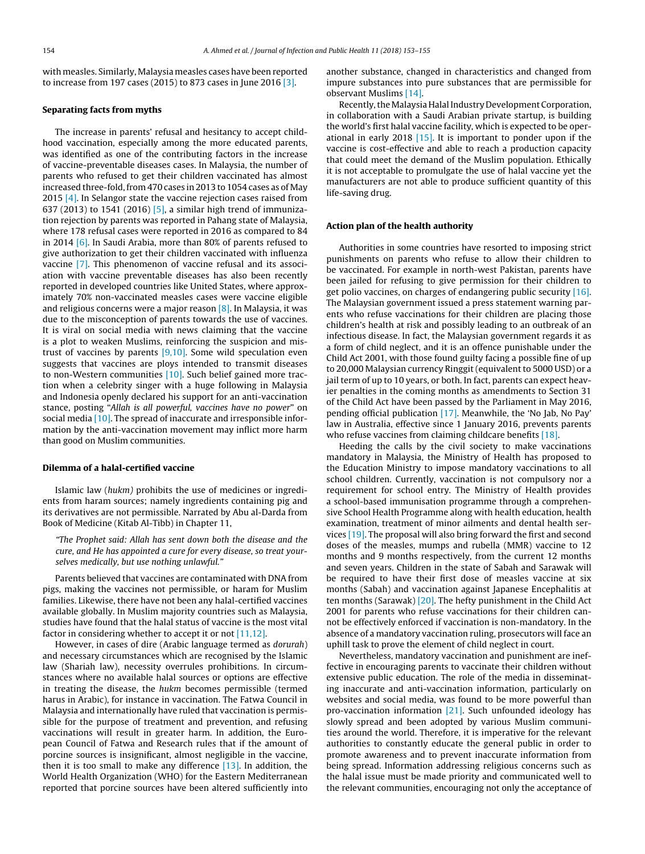with measles. Similarly, Malaysia measles cases have been reported to increase from 197 cases (2015) to 873 cases in June 2016 [\[3\].](#page-2-0)

# **Separating facts from myths**

The increase in parents' refusal and hesitancy to accept childhood vaccination, especially among the more educated parents, was identified as one of the contributing factors in the increase of vaccine-preventable diseases cases. In Malaysia, the number of parents who refused to get their children vaccinated has almost increased three-fold, from 470 cases in 2013 to 1054 cases as of May 2015 [\[4\].](#page-2-0) In Selangor state the vaccine rejection cases raised from 637 (2013) to 1541 (2016) [\[5\],](#page-2-0) a similar high trend of immunization rejection by parents was reported in Pahang state of Malaysia, where 178 refusal cases were reported in 2016 as compared to 84 in 2014 [\[6\].](#page-2-0) In Saudi Arabia, more than 80% of parents refused to give authorization to get their children vaccinated with influenza vaccine [\[7\].](#page-2-0) This phenomenon of vaccine refusal and its association with vaccine preventable diseases has also been recently reported in developed countries like United States, where approximately 70% non-vaccinated measles cases were vaccine eligible and religious concerns were a major reason [\[8\].](#page-2-0) In Malaysia, it was due to the misconception of parents towards the use of vaccines. It is viral on social media with news claiming that the vaccine is a plot to weaken Muslims, reinforcing the suspicion and mistrust of vaccines by parents  $[9,10]$ . Some wild speculation even suggests that vaccines are ploys intended to transmit diseases to non-Western communities [\[10\].](#page-2-0) Such belief gained more traction when a celebrity singer with a huge following in Malaysia and Indonesia openly declared his support for an anti-vaccination stance, posting "Allah is all powerful, vaccines have no power" on social media [\[10\].](#page-2-0) The spread of inaccurate and irresponsible information by the anti-vaccination movement may inflict more harm than good on Muslim communities.

# **Dilemma of a halal-certified vaccine**

Islamic law (hukm) prohibits the use of medicines or ingredients from haram sources; namely ingredients containing pig and its derivatives are not permissible. Narrated by Abu al-Darda from Book of Medicine (Kitab Al-Tibb) in Chapter 11,

"The Prophet said: Allah has sent down both the disease and the cure, and He has appointed a cure for every disease, so treat yourselves medically, but use nothing unlawful."

Parents believed that vaccines are contaminated with DNA from pigs, making the vaccines not permissible, or haram for Muslim families. Likewise, there have not been any halal-certified vaccines available globally. In Muslim majority countries such as Malaysia, studies have found that the halal status of vaccine is the most vital factor in considering whether to accept it or not [\[11,12\].](#page-2-0)

However, in cases of dire (Arabic language termed as dorurah) and necessary circumstances which are recognised by the Islamic law (Shariah law), necessity overrules prohibitions. In circumstances where no available halal sources or options are effective in treating the disease, the hukm becomes permissible (termed harus in Arabic), for instance in vaccination. The Fatwa Council in Malaysia and internationally have ruled that vaccination is permissible for the purpose of treatment and prevention, and refusing vaccinations will result in greater harm. In addition, the European Council of Fatwa and Research rules that if the amount of porcine sources is insignificant, almost negligible in the vaccine, then it is too small to make any difference  $[13]$ . In addition, the World Health Organization (WHO) for the Eastern Mediterranean reported that porcine sources have been altered sufficiently into another substance, changed in characteristics and changed from impure substances into pure substances that are permissible for observant Muslims [\[14\].](#page-2-0)

Recently, the Malaysia Halal Industry Development Corporation, in collaboration with a Saudi Arabian private startup, is building the world's first halal vaccine facility, which is expected to be operational in early 2018  $[15]$ . It is important to ponder upon if the vaccine is cost-effective and able to reach a production capacity that could meet the demand of the Muslim population. Ethically it is not acceptable to promulgate the use of halal vaccine yet the manufacturers are not able to produce sufficient quantity of this life-saving drug.

# **Action plan of the health authority**

Authorities in some countries have resorted to imposing strict punishments on parents who refuse to allow their children to be vaccinated. For example in north-west Pakistan, parents have been jailed for refusing to give permission for their children to get polio vaccines, on charges of endangering public security [\[16\].](#page-2-0) The Malaysian government issued a press statement warning parents who refuse vaccinations for their children are placing those children's health at risk and possibly leading to an outbreak of an infectious disease. In fact, the Malaysian government regards it as a form of child neglect, and it is an offence punishable under the Child Act 2001, with those found guilty facing a possible fine of up to 20,000 Malaysian currency Ringgit (equivalent to 5000 USD) or a jail term of up to 10 years, or both. In fact, parents can expect heavier penalties in the coming months as amendments to Section 31 of the Child Act have been passed by the Parliament in May 2016, pending official publication [\[17\].](#page-2-0) Meanwhile, the 'No Jab, No Pay' law in Australia, effective since 1 January 2016, prevents parents who refuse vaccines from claiming childcare benefits [\[18\].](#page-2-0)

Heeding the calls by the civil society to make vaccinations mandatory in Malaysia, the Ministry of Health has proposed to the Education Ministry to impose mandatory vaccinations to all school children. Currently, vaccination is not compulsory nor a requirement for school entry. The Ministry of Health provides a school-based immunisation programme through a comprehensive School Health Programme along with health education, health examination, treatment of minor ailments and dental health services  $[19]$ . The proposal will also bring forward the first and second doses of the measles, mumps and rubella (MMR) vaccine to 12 months and 9 months respectively, from the current 12 months and seven years. Children in the state of Sabah and Sarawak will be required to have their first dose of measles vaccine at six months (Sabah) and vaccination against Japanese Encephalitis at ten months (Sarawak) [\[20\].](#page-2-0) The hefty punishment in the Child Act 2001 for parents who refuse vaccinations for their children cannot be effectively enforced if vaccination is non-mandatory. In the absence of a mandatory vaccination ruling, prosecutors will face an uphill task to prove the element of child neglect in court.

Nevertheless, mandatory vaccination and punishment are ineffective in encouraging parents to vaccinate their children without extensive public education. The role of the media in disseminating inaccurate and anti-vaccination information, particularly on websites and social media, was found to be more powerful than pro-vaccination information  $[21]$ . Such unfounded ideology has slowly spread and been adopted by various Muslim communities around the world. Therefore, it is imperative for the relevant authorities to constantly educate the general public in order to promote awareness and to prevent inaccurate information from being spread. Information addressing religious concerns such as the halal issue must be made priority and communicated well to the relevant communities, encouraging not only the acceptance of